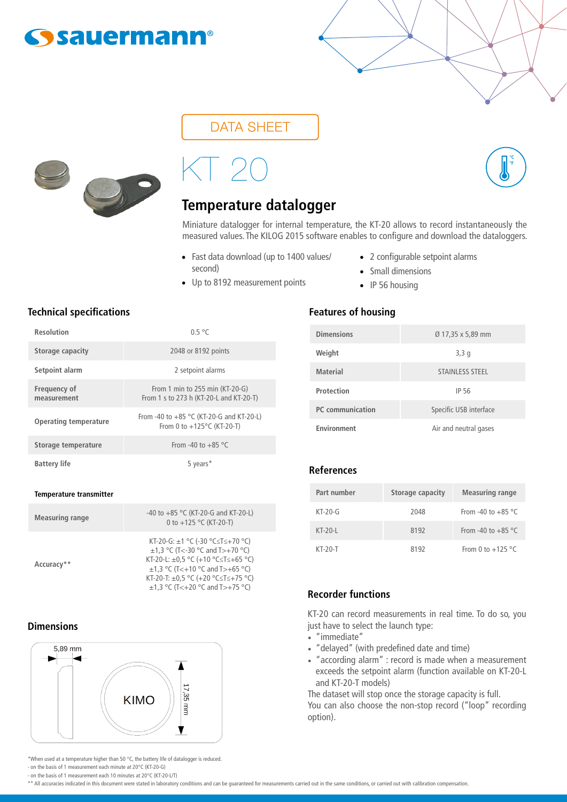## **Ssauermann®**

## DATA SHEET

# KT 20

## **Temperature datalogger**

Miniature datalogger for internal temperature, the KT-20 allows to record instantaneously the measured values. The KILOG 2015 software enables to configure and download the dataloggers.

- Fast data download (up to 1400 values/ second)
- Up to 8192 measurement points
- 2 configurable setpoint alarms

**°C °F**

- Small dimensions
	- IP 56 housing

#### **Technical specifications Features of housing**

| <b>Resolution</b>           | 0.5 °C                                                                             |
|-----------------------------|------------------------------------------------------------------------------------|
| Storage capacity            | 2048 or 8192 points                                                                |
| Setpoint alarm              | 2 setpoint alarms                                                                  |
| Frequency of<br>measurement | From 1 min to $255$ min $(KT-20-G)$<br>From 1 s to 273 h (KT-20-L and KT-20-T)     |
| Operating temperature       | From -40 to $+85$ °C (KT-20-G and KT-20-L)<br>From 0 to $+125^{\circ}$ C (KT-20-T) |
| Storage temperature         | From -40 to +85 °C                                                                 |
| <b>Battery life</b>         | 5 years*                                                                           |

#### **Temperature transmitter**

| <b>Measuring range</b> | -40 to $+85$ °C (KT-20-G and KT-20-L)<br>0 to +125 °C (KT-20-T)                                                                                                                                                                              |
|------------------------|----------------------------------------------------------------------------------------------------------------------------------------------------------------------------------------------------------------------------------------------|
| Accuracy**             | KT-20-G: ±1 °C (-30 °C≤T≤+70 °C)<br>$\pm$ 1,3 °C (T<-30 °C and T>+70 °C)<br>KT-20-L: $\pm$ 0.5 °C (+10 °C ≤T ≤ +65 °C)<br>$\pm$ 1,3 °C (T<+10 °C and T>+65 °C)<br>KT-20-T: ±0,5 °C (+20 °C≤T≤+75 °C)<br>$\pm$ 1,3 °C (T<+20 °C and T>+75 °C) |

#### **Dimensions**



\*When used at a temperature higher than 50 °C, the battery life of datalogger is reduced. - on the basis of 1 measurement each minute at 20°C (KT-20-G)

- on the basis of 1 measurement each 10 minutes at 20°C (KT-20-L/T)

\*\* All accuracies indicated in this document were stated in laboratory conditions and can be guaranteed for measurements carried out in the same conditions, or carried out with calibration compensation.

| <b>Dimensions</b> | Ø 17,35 x 5,89 mm      |
|-------------------|------------------------|
| Weight            | 3,3q                   |
| <b>Material</b>   | <b>STAINLESS STEEL</b> |
| Protection        | <b>IP 56</b>           |
| PC communication  | Specific USB interface |
| Environment       | Air and neutral gases  |

#### **References**

| Part number | Storage capacity | <b>Measuring range</b> |
|-------------|------------------|------------------------|
| $KT-20-G$   | 2048             | From -40 to +85 °C     |
| $KT-20-I$   | 8192             | From -40 to +85 °C     |
| $KT-20-T$   | 8192             | From 0 to $+125$ °C    |

#### **Recorder functions**

KT-20 can record measurements in real time. To do so, you just have to select the launch type:

- "immediate"
- "delayed" (with predefined date and time)
- "according alarm" : record is made when a measurement exceeds the setpoint alarm (function available on KT-20-L and KT-20-T models)

The dataset will stop once the storage capacity is full.

You can also choose the non-stop record ("loop" recording option).